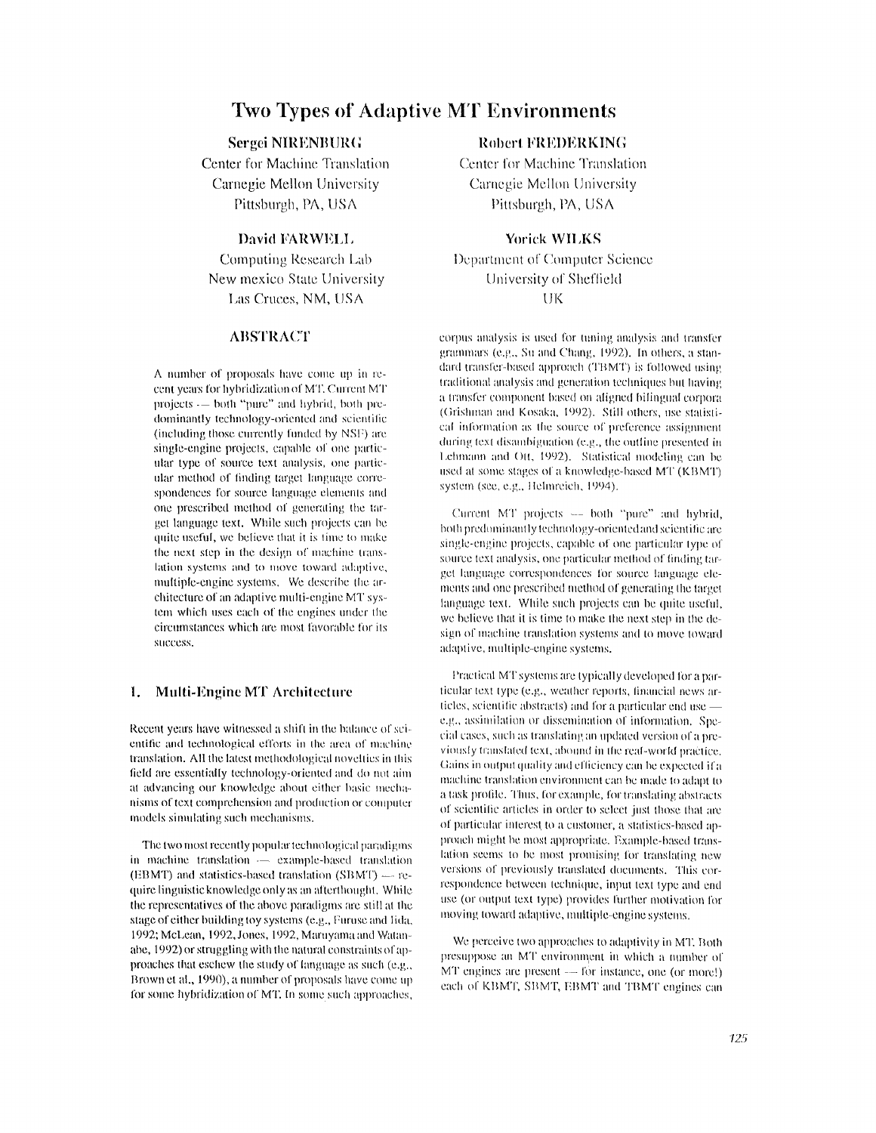# **Two Types of Adaptive MT Environments**

# **Sergei NIRENBURG**

Center for Machine Translation Carnegie Mellon University Pittsburgh, PA, USA

# David FARWELL

Computing Research Lab New mexico State University Las Cruces, NM, USA

# **ABSTRACT**

A number of proposals have come up in recent years for hybridization of MT. Current MT projects -- both "pure" and hybrid, both predominantly technology-oriented and scientific (including those currently funded by NSF) are single-engine projects, capable of one particular type of source text analysis, one particular method of finding target language correspondences for source language elements and one prescribed method of generating the target language text. While such projects can be quite useful, we believe that it is time to make the next step in the design of machine translation systems and to move toward adaptive, multiple-engine systems. We describe the architecture of an adaptive multi-engine MT system which uses each of the engines under the circumstances which are most favorable for its success

### $\mathbf{1}$ . Multi-Engine MT Architecture

Recent years have witnessed a shift in the balance of scientific and technological efforts in the area of machine translation. All the latest methodological novelties in this field are essentially technology-oriented and do not aim at advancing our knowledge about either basic mechanisms of text comprehension and production or computer models simulating such mechanisms.

The two most recently popular technological paradigms in machine translation  $\overline{\phantom{a}}$  example-based translation (EBMT) and statistics-based translation (SBMT)  $-$  require linguistic knowledge only as an afterthought. While the representatives of the above paradigms are still at the stage of either building toy systems (e.g., Furuse and Iida, 1992; McLean, 1992, Jones, 1992, Maruyama and Watanabe, 1992) or struggling with the natural constraints of approaches that eschew the study of language as such (e.g., Brown et al., 1990), a number of proposals have come up for some hybridization of MT. In some such approaches,

# **Robert FREDERKING**

Center for Machine Translation Carnegie Mellon University Pittsburgh, PA, USA

## **Yorick WILKS**

Department of Computer Science University of Sheffield UK

corpus analysis is used for tuning analysis and transfer grammars (e.g., Su and Chang, 1992). In others, a standard transfer-based approach (TBMT) is followed using traditional analysis and generation techniques but having a transfer component based on aligned bilingual corpora (Grishman and Kosaka, 1992). Still others, use statistical information as the source of preference assignment during text disambiguation (e.g., the outline presented in Lehmann and Ott, 1992). Statistical modeling can be used at some stages of a knowledge-based MT (KBMT) system (see, e.g., Helmreich, 1994).

Current MT projects -- both "pure" and hybrid, both predominantly technology-oriented and scientific are single-engine projects, capable of one particular type of source text analysis, one particular method of finding target language correspondences for source language elements and one prescribed method of generating the target language text. While such projects can be quite useful, we believe that it is time to make the next step in the design of machine translation systems and to move toward adaptive, multiple-engine systems.

Practical MT systems are typically developed for a particular text type (e.g., weather reports, financial news articles, scientific abstracts) and for a particular end use e.g., assimilation or dissemination of information. Special cases, such as translating an updated version of a previously translated text, abound in the real-world practice. Gains in output quality and efficiency can be expected if a machine translation environment can be made to adapt to a task profile. Thus, for example, for translating abstracts of scientific articles in order to select just those that are of particular interest to a customer, a statistics-based approach might be most appropriate. Example-based translation seems to be most promising for translating new versions of previously translated documents. This correspondence between technique, input text type and end use (or output text type) provides further motivation for moving toward adaptive, multiple-engine systems.

We perceive two approaches to adaptivity in MT. Both presuppose an MT environment in which a number of MT engines are present  $-$  for instance, one (or more!) each of KBMT, SBMT, EBMT and TBMT engines can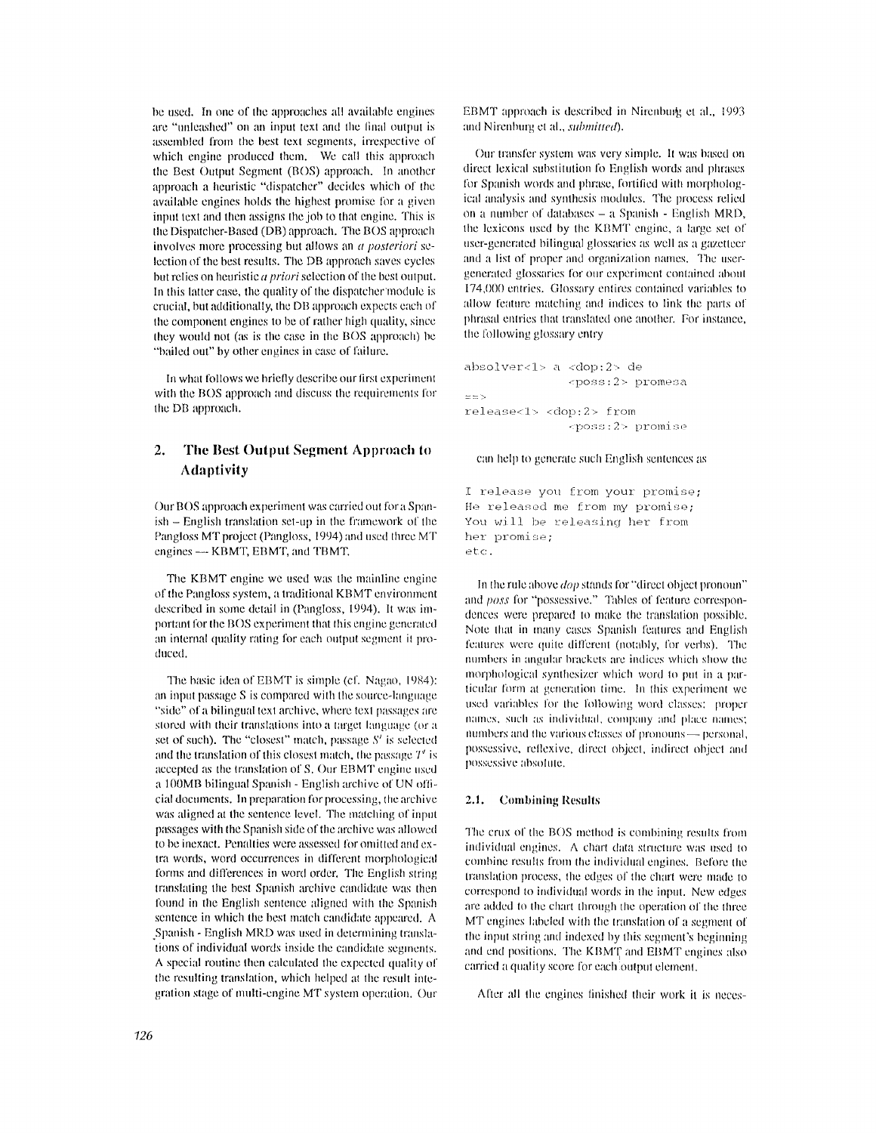be used. In one of the approaches all available engines are "unleashed" on an input text and the final output is assembled from the best text segments, irrespective of which engine produced them. We call this approach the Best Output Segment (BOS) approach. In another approach a heuristic "dispatcher" decides which of the available engines holds the highest promise for a given input text and then assigns the job to that engine. This is the Dispatcher-Based (DB) approach. The BOS approach involves more processing but allows an *a posteriori* selection of the best results. The DB approach saves cycles but relies on heuristic  $a$  priori selection of the best output. In this latter case, the quality of the dispatcher module is crucial, but additionally, the DB approach expects each of the component engines to be of rather high quality, since they would not (as is the case in the BOS approach) be "bailed out" by other engines in case of failure.

In what follows we briefly describe our first experiment with the BOS approach and discuss the requirements for the DB approach.

### $2.$ The Best Output Segment Approach to **Adaptivity**

Our BOS approach experiment was carried out for a Spanish – English translation set-up in the framework of the Pangloss MT project (Pangloss, 1994) and used three MT engines - KBMT, EBMT, and TBMT.

The KBMT engine we used was the mainline engine of the Pangloss system, a traditional KBMT environment described in some detail in (Pangloss, 1994). It was important for the BOS experiment that this engine generated an internal quality rating for each output segment it produced.

The basic idea of EBMT is simple (cf. Nagao, 1984): an input passage S is compared with the source-language "side" of a bilingual text archive, where text passages are stored with their translations into a target language (or a set of such). The "closest" match, passage S' is selected and the translation of this closest match, the passage  $T'$  is accepted as the translation of S. Our EBMT engine used a 100MB bilingual Spanish - English archive of UN official documents. In preparation for processing, the archive was aligned at the sentence level. The matching of input passages with the Spanish side of the archive was allowed to be inexact. Penalties were assessed for omitted and extra words, word occurrences in different morphological forms and differences in word order. The English string translating the best Spanish archive candidate was then found in the English sentence aligned with the Spanish sentence in which the best match candidate appeared. A Spanish - English MRD was used in determining translations of individual words inside the candidate segments. A special routine then calculated the expected quality of the resulting translation, which helped at the result integration stage of multi-engine MT system operation. Our EBMT approach is described in Nirenburg et al., 1993 and Nirenburg et al., submitted).

Our transfer system was very simple. It was based on direct lexical substitution fo English words and phrases for Spanish words and phrase, fortified with morphological analysis and synthesis modules. The process relied on a number of databases - a Spanish - English MRD, the lexicons used by the KBMT engine, a large set of user-generated bilingual glossaries as well as a gazetteer and a list of proper and organization names. The usergenerated glossaries for our experiment contained about 174,000 entries. Glossary entires contained variables to allow feature matching and indices to link the parts of phrasal entries that translated one another. For instance, the following glossary entry

absolver<1> a <dop:2> de <poss:2> promesa  $=$  =  $>$  $release <sub>1</sub> <$ dop: $2 >$  from <poss:2> promise

### can help to generate such English sentences as

I release you from your promise; He released me from my promise; You will be releasing her from her promise; etc.

In the rule above *dop* stands for "direct object pronoun" and poss for "possessive." Tables of feature correspondences were prepared to make the translation possible. Note that in many cases Spanish features and English features were quite different (notably, for verbs). The numbers in angular brackets are indices which show the morphological synthesizer which word to put in a particular form at generation time. In this experiment we used variables for the following word classes: proper names, such as individual, company and place names; numbers and the various classes of pronouns — personal, possessive, reflexive, direct object, indirect object and possessive absolute.

#### $2.1.$ **Combining Results**

The crux of the BOS method is combining results from individual engines. A chart data structure was used to combine results from the individual engines. Before the translation process, the edges of the chart were made to correspond to individual words in the input. New edges are added to the chart through the operation of the three MT engines labeled with the translation of a segment of the input string and indexed by this segment's beginning and end positions. The KBMT and EBMT engines also carried a quality score for each output element.

After all the engines finished their work it is neces-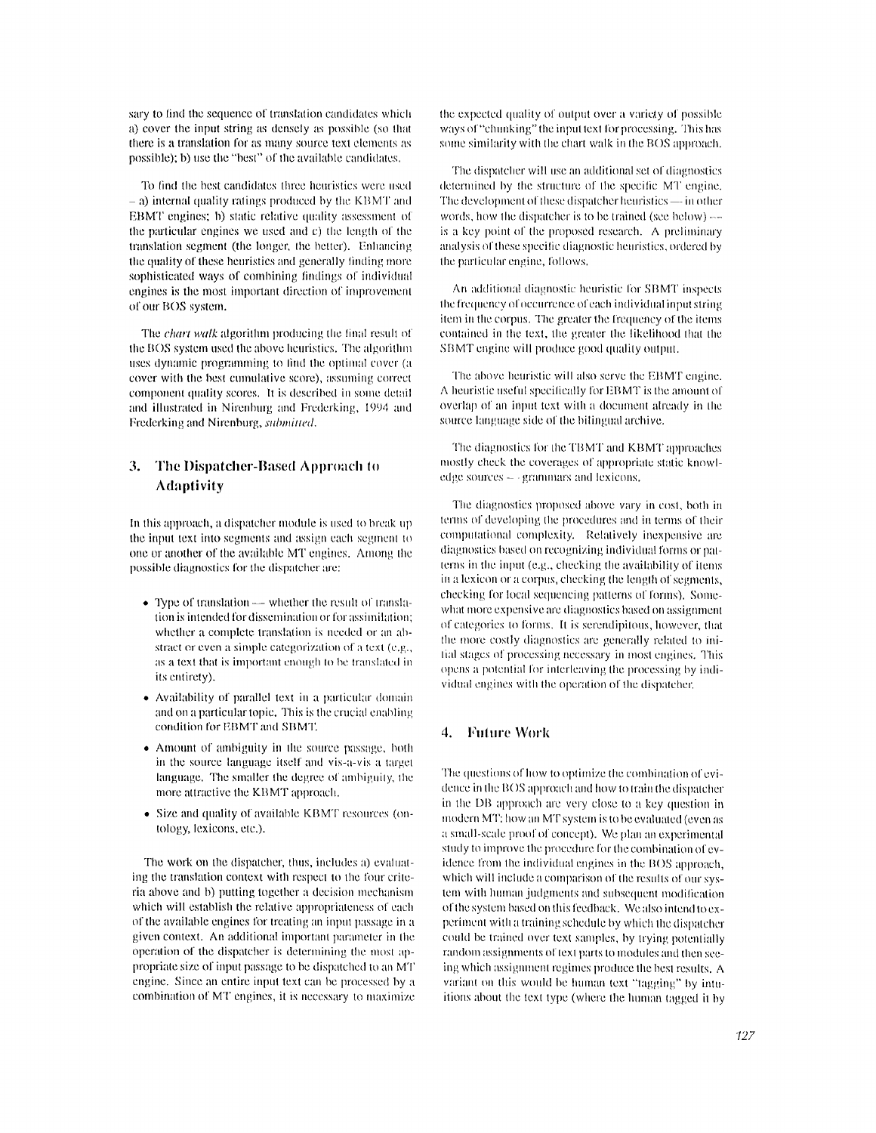sary to find the sequence of translation candidates which a) cover the input string as densely as possible (so that there is a translation for as many source text elements as possible); b) use the "best" of the available candidates.

To find the best candidates three heuristics were used  $-$  a) internal quality ratings produced by the KBMT and EBMT engines: b) static relative quality assessment of the particular engines we used and c) the length of the translation segment (the longer, the better). Enhancing the quality of these heuristics and generally finding more sophisticated ways of combining findings of individual engines is the most important direction of improvement of our BOS system.

The *chart walk* algorithm producing the final result of the BOS system used the above heuristics. The algorithm uses dynamic programming to find the optimal cover (a cover with the best cumulative score), assuming correct component quality scores. It is described in some detail and illustrated in Nirenburg and Frederking, 1994 and Frederking and Nirenburg, submitted.

# 3. The Dispatcher-Based Approach to **Adaptivity**

In this approach, a dispatcher module is used to break up the input text into segments and assign each segment to one or another of the available MT engines. Among the possible diagnostics for the dispatcher are:

- Type of translation whether the result of translation is intended for dissemination or for assimilation; whether a complete translation is needed or an abstract or even a simple categorization of a text (e.g., as a text that is important enough to be translated in its entirety).
- Availability of parallel text in a particular domain and on a particular topic. This is the crucial enabling condition for EBMT and SBMT.
- Amount of ambiguity in the source passage, both in the source language itself and vis-a-vis a target language. The smaller the degree of ambiguity, the more attractive the KBMT approach.
- Size and quality of available KBMT resources (ontology, lexicons, etc.).

The work on the dispatcher, thus, includes a) evaluating the translation context with respect to the four criteria above and b) putting together a decision mechanism which will establish the relative appropriateness of each of the available engines for treating an input passage in a given context. An additional important parameter in the operation of the dispatcher is determining the most appropriate size of input passage to be dispatched to an MT engine. Since an entire input text can be processed by a combination of MT engines, it is necessary to maximize

the expected quality of output over a variety of possible ways of "chunking" the input text for processing. This has some similarity with the chart walk in the BOS approach.

The dispatcher will use an additional set of diagnostics determined by the structure of the specific MT engine. The development of these dispatcher heuristics — in other words, how the dispatcher is to be trained (see below)  $$ is a key point of the proposed research. A preliminary analysis of these specific diagnostic heuristics, ordered by the particular engine, follows.

An additional diagnostic heuristic for SBMT inspects the frequency of occurrence of each individual input string item in the corous. The greater the frequency of the items contained in the text, the greater the likelihood that the SBMT engine will produce good quality output.

The above heuristic will also serve the EBMT engine. A heuristic useful specifically for EBMT is the amount of overlap of an input text with a document already in the source language side of the bilingual archive.

The diagnostics for the TBMT and KBMT approaches mostly check the coverages of appropriate static knowledge sources  $-$  grammars and lexicons.

The diagnostics proposed above vary in cost, both in terms of developing the procedures and in terms of their computational complexity. Relatively inexpensive are diagnostics based on recognizing individual forms or patterns in the input (e.g., checking the availability of items in a lexicon or a corpus, checking the length of segments, checking for local sequencing patterns of forms). Somewhat more expensive are diagnostics based on assignment of categories to forms. It is serendipitous, however, that the more costly diagnostics are generally related to initial stages of processing necessary in most engines. This opens a potential for interleaving the processing by individual engines with the operation of the dispatcher,

## 4. Future Work

The questions of how to optimize the combination of evidence in the BOS approach and how to train the dispatcher in the DB approach are very close to a key question in modern MT; how an MT system is to be evaluated (even as a small-scale proof of concept). We plan an experimental study to improve the procedure for the combination of evidence from the individual engines in the BOS approach, which will include a comparison of the results of our system with human judgments and subsequent modification of the system based on this feedback. We also intend to experiment with a training schedule by which the dispatcher could be trained over text samples, by trying potentially random assignments of text parts to modules and then seeing which assignment regimes produce the best results. A variant on this would be human text "tagging" by intuitions about the text type (where the human tagged it by